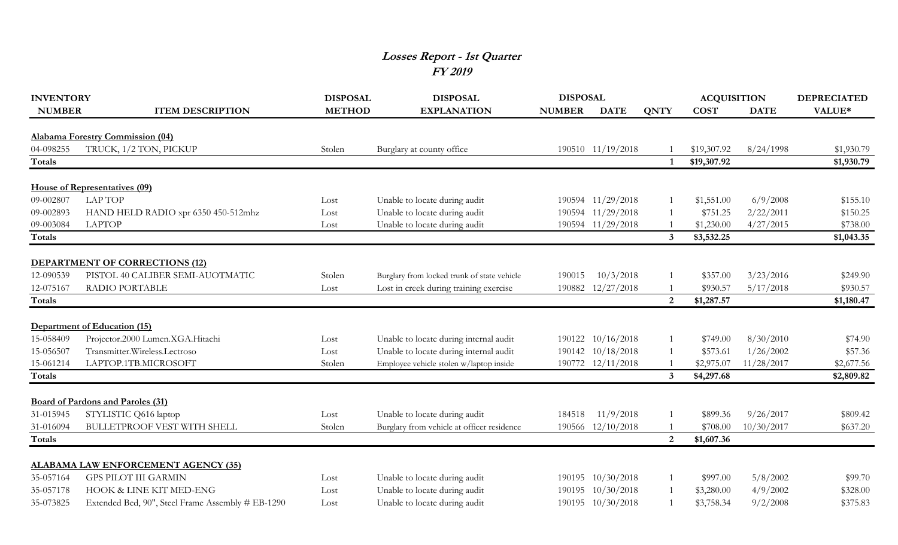## **Losses Report - 1st Quarter FY 2019**

| <b>INVENTORY</b>           |                                                                   | <b>DISPOSAL</b> | <b>DISPOSAL</b>                             | <b>DISPOSAL</b> |                   |                | <b>ACQUISITION</b> |             | <b>DEPRECIATED</b> |
|----------------------------|-------------------------------------------------------------------|-----------------|---------------------------------------------|-----------------|-------------------|----------------|--------------------|-------------|--------------------|
| <b>NUMBER</b>              | <b>ITEM DESCRIPTION</b>                                           | <b>METHOD</b>   | <b>EXPLANATION</b>                          | <b>NUMBER</b>   | <b>DATE</b>       | <b>QNTY</b>    | <b>COST</b>        | <b>DATE</b> | VALUE*             |
|                            |                                                                   |                 |                                             |                 |                   |                |                    |             |                    |
|                            | Alabama Forestry Commission (04)                                  |                 |                                             |                 |                   |                |                    |             |                    |
| 04-098255                  | TRUCK, 1/2 TON, PICKUP                                            | Stolen          | Burglary at county office                   |                 | 190510 11/19/2018 |                | \$19,307.92        | 8/24/1998   | \$1,930.79         |
| <b>Totals</b>              |                                                                   |                 |                                             |                 |                   |                | \$19,307.92        |             | \$1,930.79         |
|                            | House of Representatives (09)                                     |                 |                                             |                 |                   |                |                    |             |                    |
| 09-002807                  | <b>LAP TOP</b>                                                    | Lost            | Unable to locate during audit               |                 | 190594 11/29/2018 |                | \$1,551.00         | 6/9/2008    | \$155.10           |
| 09-002893                  | HAND HELD RADIO xpr 6350 450-512mhz                               | Lost            | Unable to locate during audit               |                 | 190594 11/29/2018 |                | \$751.25           | 2/22/2011   | \$150.25           |
| 09-003084                  | <b>LAPTOP</b>                                                     | Lost            | Unable to locate during audit               |                 | 190594 11/29/2018 |                | \$1,230.00         | 4/27/2015   | \$738.00           |
| <b>Totals</b>              |                                                                   |                 |                                             |                 |                   | $\mathbf{3}$   | \$3,532.25         |             | \$1,043.35         |
|                            |                                                                   |                 |                                             |                 |                   |                |                    |             |                    |
|                            | <b>DEPARTMENT OF CORRECTIONS (12)</b>                             |                 |                                             |                 |                   |                |                    |             |                    |
| 12-090539                  | PISTOL 40 CALIBER SEMI-AUOTMATIC                                  | Stolen          | Burglary from locked trunk of state vehicle | 190015          | 10/3/2018         |                | \$357.00           | 3/23/2016   | \$249.90           |
| 12-075167                  | RADIO PORTABLE                                                    | Lost            | Lost in creek during training exercise      |                 | 190882 12/27/2018 |                | \$930.57           | 5/17/2018   | \$930.57           |
| <b>Totals</b>              |                                                                   |                 |                                             |                 |                   | $\overline{2}$ | \$1,287.57         |             | \$1,180.47         |
|                            |                                                                   |                 |                                             |                 |                   |                |                    |             |                    |
|                            | Department of Education (15)                                      |                 |                                             |                 |                   |                |                    |             |                    |
| 15-058409                  | Projector.2000 Lumen.XGA.Hitachi                                  | Lost            | Unable to locate during internal audit      |                 | 190122 10/16/2018 |                | \$749.00           | 8/30/2010   | \$74.90            |
| 15-056507                  | Transmitter.Wireless.Lectroso                                     | Lost            | Unable to locate during internal audit      |                 | 190142 10/18/2018 |                | \$573.61           | 1/26/2002   | \$57.36            |
| 15-061214                  | LAPTOP.1TB.MICROSOFT                                              | Stolen          | Employee vehicle stolen w/laptop inside     |                 | 190772 12/11/2018 |                | \$2,975.07         | 11/28/2017  | \$2,677.56         |
| <b>Totals</b>              |                                                                   |                 |                                             |                 |                   | 3              | \$4,297.68         |             | \$2,809.82         |
|                            |                                                                   |                 |                                             |                 |                   |                |                    |             |                    |
| 31-015945                  | <b>Board of Pardons and Paroles (31)</b><br>STYLISTIC Q616 laptop | Lost            | Unable to locate during audit               | 184518          | 11/9/2018         |                | \$899.36           | 9/26/2017   | \$809.42           |
|                            |                                                                   |                 |                                             |                 |                   |                |                    |             |                    |
| 31-016094<br><b>Totals</b> | <b>BULLETPROOF VEST WITH SHELL</b>                                | Stolen          | Burglary from vehicle at officer residence  |                 | 190566 12/10/2018 | $\overline{2}$ | \$708.00           | 10/30/2017  | \$637.20           |
|                            |                                                                   |                 |                                             |                 |                   |                | \$1,607.36         |             |                    |
|                            | <b>ALABAMA LAW ENFORCEMENT AGENCY (35)</b>                        |                 |                                             |                 |                   |                |                    |             |                    |
| 35-057164                  | <b>GPS PILOT III GARMIN</b>                                       | Lost            | Unable to locate during audit               |                 | 190195 10/30/2018 |                | \$997.00           | 5/8/2002    | \$99.70            |
| 35-057178                  | HOOK & LINE KIT MED-ENG                                           | Lost            | Unable to locate during audit               |                 | 190195 10/30/2018 |                | \$3,280.00         | 4/9/2002    | \$328.00           |
| 35-073825                  | Extended Bed, 90", Steel Frame Assembly # EB-1290                 | Lost            | Unable to locate during audit               |                 | 190195 10/30/2018 |                | \$3,758.34         | 9/2/2008    | \$375.83           |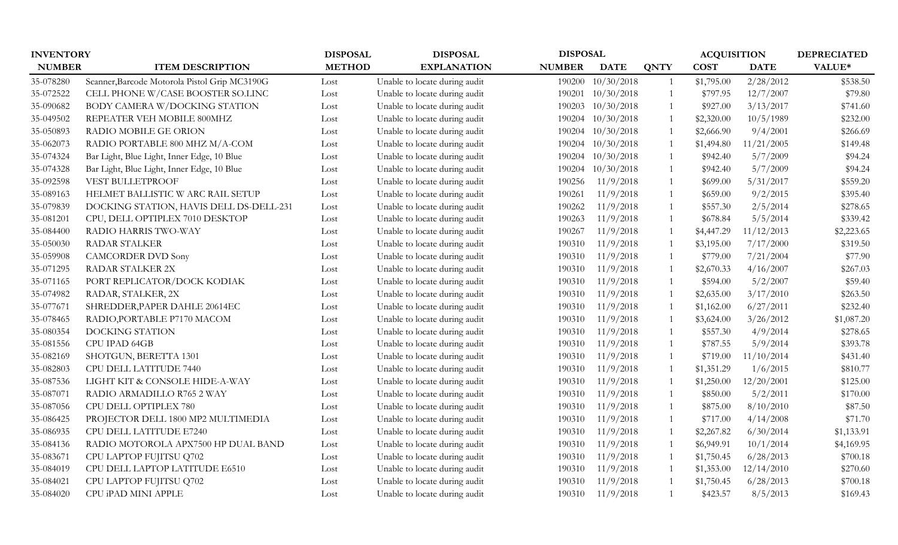| <b>INVENTORY</b> |                                               | <b>DISPOSAL</b> | <b>DISPOSAL</b>               | <b>DISPOSAL</b> |             |             | <b>ACQUISITION</b> |             | <b>DEPRECIATED</b> |
|------------------|-----------------------------------------------|-----------------|-------------------------------|-----------------|-------------|-------------|--------------------|-------------|--------------------|
| <b>NUMBER</b>    | <b>ITEM DESCRIPTION</b>                       | <b>METHOD</b>   | <b>EXPLANATION</b>            | <b>NUMBER</b>   | <b>DATE</b> | <b>QNTY</b> | <b>COST</b>        | <b>DATE</b> | VALUE*             |
| 35-078280        | Scanner, Barcode Motorola Pistol Grip MC3190G | Lost            | Unable to locate during audit | 190200          | 10/30/2018  |             | \$1,795.00         | 2/28/2012   | \$538.50           |
| 35-072522        | CELL PHONE W/CASE BOOSTER SO.LINC             | Lost            | Unable to locate during audit | 190201          | 10/30/2018  |             | \$797.95           | 12/7/2007   | \$79.80            |
| 35-090682        | BODY CAMERA W/DOCKING STATION                 | Lost            | Unable to locate during audit | 190203          | 10/30/2018  |             | \$927.00           | 3/13/2017   | \$741.60           |
| 35-049502        | REPEATER VEH MOBILE 800MHZ                    | Lost            | Unable to locate during audit | 190204          | 10/30/2018  |             | \$2,320.00         | 10/5/1989   | \$232.00           |
| 35-050893        | RADIO MOBILE GE ORION                         | Lost            | Unable to locate during audit | 190204          | 10/30/2018  |             | \$2,666.90         | 9/4/2001    | \$266.69           |
| 35-062073        | RADIO PORTABLE 800 MHZ M/A-COM                | Lost            | Unable to locate during audit | 190204          | 10/30/2018  |             | \$1,494.80         | 11/21/2005  | \$149.48           |
| 35-074324        | Bar Light, Blue Light, Inner Edge, 10 Blue    | Lost            | Unable to locate during audit | 190204          | 10/30/2018  |             | \$942.40           | 5/7/2009    | \$94.24            |
| 35-074328        | Bar Light, Blue Light, Inner Edge, 10 Blue    | Lost            | Unable to locate during audit | 190204          | 10/30/2018  |             | \$942.40           | 5/7/2009    | \$94.24            |
| 35-092598        | VEST BULLETPROOF                              | Lost            | Unable to locate during audit | 190256          | 11/9/2018   |             | \$699.00           | 5/31/2017   | \$559.20           |
| 35-089163        | HELMET BALLISTIC W ARC RAIL SETUP             | Lost            | Unable to locate during audit | 190261          | 11/9/2018   |             | \$659.00           | 9/2/2015    | \$395.40           |
| 35-079839        | DOCKING STATION, HAVIS DELL DS-DELL-231       | Lost            | Unable to locate during audit | 190262          | 11/9/2018   |             | \$557.30           | 2/5/2014    | \$278.65           |
| 35-081201        | CPU, DELL OPTIPLEX 7010 DESKTOP               | Lost            | Unable to locate during audit | 190263          | 11/9/2018   |             | \$678.84           | 5/5/2014    | \$339.42           |
| 35-084400        | RADIO HARRIS TWO-WAY                          | Lost            | Unable to locate during audit | 190267          | 11/9/2018   |             | \$4,447.29         | 11/12/2013  | \$2,223.65         |
| 35-050030        | <b>RADAR STALKER</b>                          | Lost            | Unable to locate during audit | 190310          | 11/9/2018   |             | \$3,195.00         | 7/17/2000   | \$319.50           |
| 35-059908        | <b>CAMCORDER DVD Sony</b>                     | Lost            | Unable to locate during audit | 190310          | 11/9/2018   |             | \$779.00           | 7/21/2004   | \$77.90            |
| 35-071295        | RADAR STALKER 2X                              | Lost            | Unable to locate during audit | 190310          | 11/9/2018   |             | \$2,670.33         | 4/16/2007   | \$267.03           |
| 35-071165        | PORT REPLICATOR/DOCK KODIAK                   | Lost            | Unable to locate during audit | 190310          | 11/9/2018   |             | \$594.00           | 5/2/2007    | \$59.40            |
| 35-074982        | RADAR, STALKER, 2X                            | Lost            | Unable to locate during audit | 190310          | 11/9/2018   |             | \$2,635.00         | 3/17/2010   | \$263.50           |
| 35-077671        | SHREDDER, PAPER DAHLE 20614EC                 | Lost            | Unable to locate during audit | 190310          | 11/9/2018   |             | \$1,162.00         | 6/27/2011   | \$232.40           |
| 35-078465        | RADIO, PORTABLE P7170 MACOM                   | Lost            | Unable to locate during audit | 190310          | 11/9/2018   |             | \$3,624.00         | 3/26/2012   | \$1,087.20         |
| 35-080354        | DOCKING STATION                               | Lost            | Unable to locate during audit | 190310          | 11/9/2018   |             | \$557.30           | 4/9/2014    | \$278.65           |
| 35-081556        | CPU IPAD 64GB                                 | Lost            | Unable to locate during audit | 190310          | 11/9/2018   |             | \$787.55           | 5/9/2014    | \$393.78           |
| 35-082169        | SHOTGUN, BERETTA 1301                         | Lost            | Unable to locate during audit | 190310          | 11/9/2018   |             | \$719.00           | 11/10/2014  | \$431.40           |
| 35-082803        | CPU DELL LATITUDE 7440                        | Lost            | Unable to locate during audit | 190310          | 11/9/2018   |             | \$1,351.29         | 1/6/2015    | \$810.77           |
| 35-087536        | LIGHT KIT & CONSOLE HIDE-A-WAY                | Lost            | Unable to locate during audit | 190310          | 11/9/2018   |             | \$1,250.00         | 12/20/2001  | \$125.00           |
| 35-087071        | RADIO ARMADILLO R765 2 WAY                    | Lost            | Unable to locate during audit | 190310          | 11/9/2018   |             | \$850.00           | 5/2/2011    | \$170.00           |
| 35-087056        | CPU DELL OPTIPLEX 780                         | Lost            | Unable to locate during audit | 190310          | 11/9/2018   |             | \$875.00           | 8/10/2010   | \$87.50            |
| 35-086425        | PROJECTOR DELL 1800 MP2 MULTIMEDIA            | Lost            | Unable to locate during audit | 190310          | 11/9/2018   |             | \$717.00           | 4/14/2008   | \$71.70            |
| 35-086935        | CPU DELL LATITUDE E7240                       | Lost            | Unable to locate during audit | 190310          | 11/9/2018   |             | \$2,267.82         | 6/30/2014   | \$1,133.91         |
| 35-084136        | RADIO MOTOROLA APX7500 HP DUAL BAND           | Lost            | Unable to locate during audit | 190310          | 11/9/2018   |             | \$6,949.91         | 10/1/2014   | \$4,169.95         |
| 35-083671        | CPU LAPTOP FUJITSU Q702                       | Lost            | Unable to locate during audit | 190310          | 11/9/2018   |             | \$1,750.45         | 6/28/2013   | \$700.18           |
| 35-084019        | CPU DELL LAPTOP LATITUDE E6510                | Lost            | Unable to locate during audit | 190310          | 11/9/2018   |             | \$1,353.00         | 12/14/2010  | \$270.60           |
| 35-084021        | CPU LAPTOP FUJITSU Q702                       | Lost            | Unable to locate during audit | 190310          | 11/9/2018   |             | \$1,750.45         | 6/28/2013   | \$700.18           |
| 35-084020        | CPU iPAD MINI APPLE                           | Lost            | Unable to locate during audit | 190310          | 11/9/2018   |             | \$423.57           | 8/5/2013    | \$169.43           |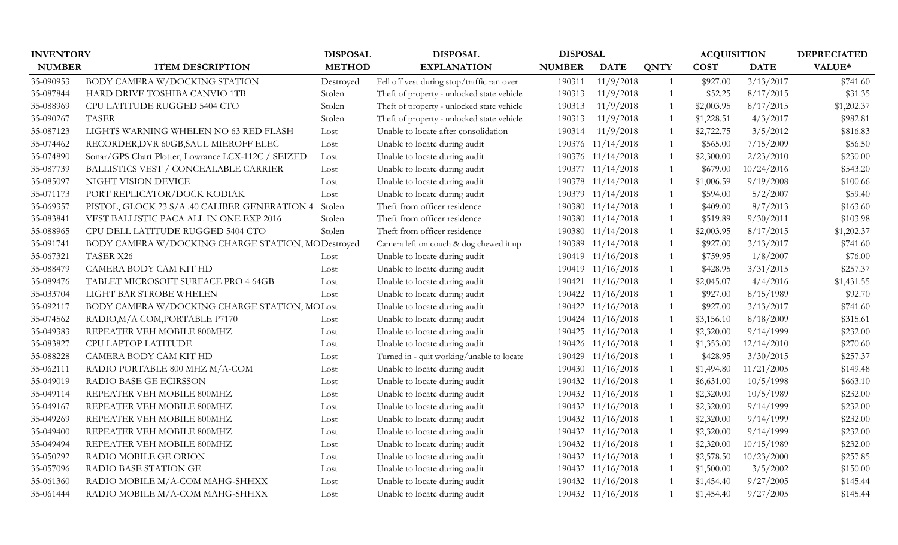| <b>INVENTORY</b> |                                                     | <b>DISPOSAL</b><br><b>DISPOSAL</b> |                                            | <b>DISPOSAL</b> |                   |             | <b>ACQUISITION</b> |             | <b>DEPRECIATED</b> |
|------------------|-----------------------------------------------------|------------------------------------|--------------------------------------------|-----------------|-------------------|-------------|--------------------|-------------|--------------------|
| <b>NUMBER</b>    | <b>ITEM DESCRIPTION</b>                             | <b>METHOD</b>                      | <b>EXPLANATION</b>                         | <b>NUMBER</b>   | <b>DATE</b>       | <b>QNTY</b> | <b>COST</b>        | <b>DATE</b> | VALUE*             |
| 35-090953        | BODY CAMERA W/DOCKING STATION                       | Destroyed                          | Fell off vest during stop/traffic ran over | 190311          | 11/9/2018         |             | \$927.00           | 3/13/2017   | \$741.60           |
| 35-087844        | HARD DRIVE TOSHIBA CANVIO 1TB                       | Stolen                             | Theft of property - unlocked state vehicle | 190313          | 11/9/2018         |             | \$52.25            | 8/17/2015   | \$31.35            |
| 35-088969        | CPU LATITUDE RUGGED 5404 CTO                        | Stolen                             | Theft of property - unlocked state vehicle | 190313          | 11/9/2018         |             | \$2,003.95         | 8/17/2015   | \$1,202.37         |
| 35-090267        | <b>TASER</b>                                        | Stolen                             | Theft of property - unlocked state vehicle | 190313          | 11/9/2018         |             | \$1,228.51         | 4/3/2017    | \$982.81           |
| 35-087123        | LIGHTS WARNING WHELEN NO 63 RED FLASH               | Lost                               | Unable to locate after consolidation       | 190314          | 11/9/2018         |             | \$2,722.75         | 3/5/2012    | \$816.83           |
| 35-074462        | RECORDER, DVR 60GB, SAUL MIEROFF ELEC               | Lost                               | Unable to locate during audit              | 190376          | 11/14/2018        |             | \$565.00           | 7/15/2009   | \$56.50            |
| 35-074890        | Sonar/GPS Chart Plotter, Lowrance LCX-112C / SEIZED | Lost                               | Unable to locate during audit              | 190376          | 11/14/2018        |             | \$2,300.00         | 2/23/2010   | \$230.00           |
| 35-087739        | <b>BALLISTICS VEST / CONCEALABLE CARRIER</b>        | Lost                               | Unable to locate during audit              | 190377          | 11/14/2018        |             | \$679.00           | 10/24/2016  | \$543.20           |
| 35-085097        | NIGHT VISION DEVICE                                 | Lost                               | Unable to locate during audit              |                 | 190378 11/14/2018 |             | \$1,006.59         | 9/19/2008   | \$100.66           |
| 35-071173        | PORT REPLICATOR/DOCK KODIAK                         | Lost                               | Unable to locate during audit              |                 | 190379 11/14/2018 |             | \$594.00           | 5/2/2007    | \$59.40            |
| 35-069357        | PISTOL, GLOCK 23 S/A .40 CALIBER GENERATION 4       | Stolen                             | Theft from officer residence               |                 | 190380 11/14/2018 |             | \$409.00           | 8/7/2013    | \$163.60           |
| 35-083841        | VEST BALLISTIC PACA ALL IN ONE EXP 2016             | Stolen                             | Theft from officer residence               |                 | 190380 11/14/2018 |             | \$519.89           | 9/30/2011   | \$103.98           |
| 35-088965        | CPU DELL LATITUDE RUGGED 5404 CTO                   | Stolen                             | Theft from officer residence               |                 | 190380 11/14/2018 |             | \$2,003.95         | 8/17/2015   | \$1,202.37         |
| 35-091741        | BODY CAMERA W/DOCKING CHARGE STATION, MODestroyed   |                                    | Camera left on couch & dog chewed it up    |                 | 190389 11/14/2018 |             | \$927.00           | 3/13/2017   | \$741.60           |
| 35-067321        | <b>TASER X26</b>                                    | Lost                               | Unable to locate during audit              |                 | 190419 11/16/2018 |             | \$759.95           | 1/8/2007    | \$76.00            |
| 35-088479        | CAMERA BODY CAM KIT HD                              | Lost                               | Unable to locate during audit              |                 | 190419 11/16/2018 |             | \$428.95           | 3/31/2015   | \$257.37           |
| 35-089476        | TABLET MICROSOFT SURFACE PRO 4 64GB                 | Lost                               | Unable to locate during audit              | 190421          | 11/16/2018        |             | \$2,045.07         | 4/4/2016    | \$1,431.55         |
| 35-033704        | LIGHT BAR STROBE WHELEN                             | Lost                               | Unable to locate during audit              | 190422          | 11/16/2018        |             | \$927.00           | 8/15/1989   | \$92.70            |
| 35-092117        | BODY CAMERA W/DOCKING CHARGE STATION, MOLost        |                                    | Unable to locate during audit              |                 | 190422 11/16/2018 |             | \$927.00           | 3/13/2017   | \$741.60           |
| 35-074562        | RADIO, M/A COM, PORTABLE P7170                      | Lost                               | Unable to locate during audit              |                 | 190424 11/16/2018 |             | \$3,156.10         | 8/18/2009   | \$315.61           |
| 35-049383        | REPEATER VEH MOBILE 800MHZ                          | Lost                               | Unable to locate during audit              |                 | 190425 11/16/2018 |             | \$2,320.00         | 9/14/1999   | \$232.00           |
| 35-083827        | CPU LAPTOP LATITUDE                                 | Lost                               | Unable to locate during audit              |                 | 190426 11/16/2018 |             | \$1,353.00         | 12/14/2010  | \$270.60           |
| 35-088228        | CAMERA BODY CAM KIT HD                              | Lost                               | Turned in - quit working/unable to locate  |                 | 190429 11/16/2018 |             | \$428.95           | 3/30/2015   | \$257.37           |
| 35-062111        | RADIO PORTABLE 800 MHZ M/A-COM                      | Lost                               | Unable to locate during audit              |                 | 190430 11/16/2018 |             | \$1,494.80         | 11/21/2005  | \$149.48           |
| 35-049019        | RADIO BASE GE ECIRSSON                              | Lost                               | Unable to locate during audit              |                 | 190432 11/16/2018 |             | \$6,631.00         | 10/5/1998   | \$663.10           |
| 35-049114        | REPEATER VEH MOBILE 800MHZ                          | Lost                               | Unable to locate during audit              |                 | 190432 11/16/2018 |             | \$2,320.00         | 10/5/1989   | \$232.00           |
| 35-049167        | REPEATER VEH MOBILE 800MHZ                          | Lost                               | Unable to locate during audit              |                 | 190432 11/16/2018 |             | \$2,320.00         | 9/14/1999   | \$232.00           |
| 35-049269        | REPEATER VEH MOBILE 800MHZ                          | Lost                               | Unable to locate during audit              |                 | 190432 11/16/2018 |             | \$2,320.00         | 9/14/1999   | \$232.00           |
| 35-049400        | REPEATER VEH MOBILE 800MHZ                          | Lost                               | Unable to locate during audit              |                 | 190432 11/16/2018 |             | \$2,320.00         | 9/14/1999   | \$232.00           |
| 35-049494        | REPEATER VEH MOBILE 800MHZ                          | Lost                               | Unable to locate during audit              |                 | 190432 11/16/2018 |             | \$2,320.00         | 10/15/1989  | \$232.00           |
| 35-050292        | RADIO MOBILE GE ORION                               | Lost                               | Unable to locate during audit              |                 | 190432 11/16/2018 |             | \$2,578.50         | 10/23/2000  | \$257.85           |
| 35-057096        | RADIO BASE STATION GE                               | Lost                               | Unable to locate during audit              |                 | 190432 11/16/2018 |             | \$1,500.00         | 3/5/2002    | \$150.00           |
| 35-061360        | RADIO MOBILE M/A-COM MAHG-SHHXX                     | Lost                               | Unable to locate during audit              |                 | 190432 11/16/2018 |             | \$1,454.40         | 9/27/2005   | \$145.44           |
| 35-061444        | RADIO MOBILE M/A-COM MAHG-SHHXX                     | Lost                               | Unable to locate during audit              |                 | 190432 11/16/2018 |             | \$1,454.40         | 9/27/2005   | \$145.44           |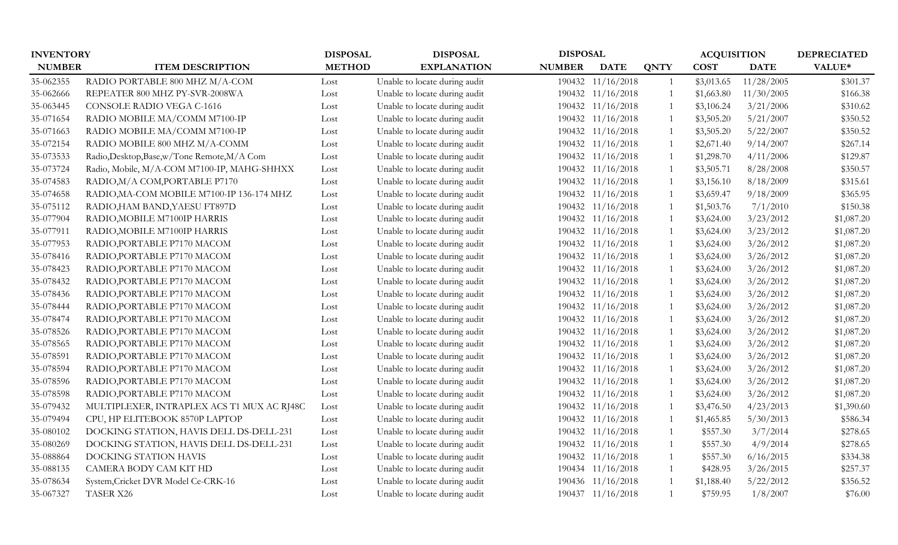| <b>INVENTORY</b> |                                              | <b>DISPOSAL</b><br><b>DISPOSAL</b> |                               | <b>DISPOSAL</b> |                   | <b>ACQUISITION</b> | <b>DEPRECIATED</b> |             |            |
|------------------|----------------------------------------------|------------------------------------|-------------------------------|-----------------|-------------------|--------------------|--------------------|-------------|------------|
| <b>NUMBER</b>    | <b>ITEM DESCRIPTION</b>                      | <b>METHOD</b>                      | <b>EXPLANATION</b>            | <b>NUMBER</b>   | <b>DATE</b>       | <b>QNTY</b>        | <b>COST</b>        | <b>DATE</b> | VALUE*     |
| 35-062355        | RADIO PORTABLE 800 MHZ M/A-COM               | Lost                               | Unable to locate during audit |                 | 190432 11/16/2018 | $\overline{1}$     | \$3,013.65         | 11/28/2005  | \$301.37   |
| 35-062666        | REPEATER 800 MHZ PY-SVR-2008WA               | Lost                               | Unable to locate during audit |                 | 190432 11/16/2018 |                    | \$1,663.80         | 11/30/2005  | \$166.38   |
| 35-063445        | CONSOLE RADIO VEGA C-1616                    | Lost                               | Unable to locate during audit |                 | 190432 11/16/2018 |                    | \$3,106.24         | 3/21/2006   | \$310.62   |
| 35-071654        | RADIO MOBILE MA/COMM M7100-IP                | Lost                               | Unable to locate during audit |                 | 190432 11/16/2018 |                    | \$3,505.20         | 5/21/2007   | \$350.52   |
| 35-071663        | RADIO MOBILE MA/COMM M7100-IP                | Lost                               | Unable to locate during audit |                 | 190432 11/16/2018 |                    | \$3,505.20         | 5/22/2007   | \$350.52   |
| 35-072154        | RADIO MOBILE 800 MHZ M/A-COMM                | Lost                               | Unable to locate during audit |                 | 190432 11/16/2018 |                    | \$2,671.40         | 9/14/2007   | \$267.14   |
| 35-073533        | Radio, Desktop, Base, w/Tone Remote, M/A Com | Lost                               | Unable to locate during audit |                 | 190432 11/16/2018 |                    | \$1,298.70         | 4/11/2006   | \$129.87   |
| 35-073724        | Radio, Mobile, M/A-COM M7100-IP, MAHG-SHHXX  | Lost                               | Unable to locate during audit |                 | 190432 11/16/2018 |                    | \$3,505.71         | 8/28/2008   | \$350.57   |
| 35-074583        | RADIO, M/A COM, PORTABLE P7170               | Lost                               | Unable to locate during audit |                 | 190432 11/16/2018 |                    | \$3,156.10         | 8/18/2009   | \$315.61   |
| 35-074658        | RADIO, MA-COM MOBILE M7100-IP 136-174 MHZ    | Lost                               | Unable to locate during audit |                 | 190432 11/16/2018 |                    | \$3,659.47         | 9/18/2009   | \$365.95   |
| 35-075112        | RADIO, HAM BAND, YAESU FT897D                | Lost                               | Unable to locate during audit |                 | 190432 11/16/2018 |                    | \$1,503.76         | 7/1/2010    | \$150.38   |
| 35-077904        | RADIO, MOBILE M7100IP HARRIS                 | Lost                               | Unable to locate during audit |                 | 190432 11/16/2018 |                    | \$3,624.00         | 3/23/2012   | \$1,087.20 |
| 35-077911        | RADIO, MOBILE M7100IP HARRIS                 | Lost                               | Unable to locate during audit |                 | 190432 11/16/2018 |                    | \$3,624.00         | 3/23/2012   | \$1,087.20 |
| 35-077953        | RADIO, PORTABLE P7170 MACOM                  | Lost                               | Unable to locate during audit |                 | 190432 11/16/2018 |                    | \$3,624.00         | 3/26/2012   | \$1,087.20 |
| 35-078416        | RADIO, PORTABLE P7170 MACOM                  | Lost                               | Unable to locate during audit |                 | 190432 11/16/2018 |                    | \$3,624.00         | 3/26/2012   | \$1,087.20 |
| 35-078423        | RADIO, PORTABLE P7170 MACOM                  | Lost                               | Unable to locate during audit |                 | 190432 11/16/2018 |                    | \$3,624.00         | 3/26/2012   | \$1,087.20 |
| 35-078432        | RADIO, PORTABLE P7170 MACOM                  | Lost                               | Unable to locate during audit |                 | 190432 11/16/2018 |                    | \$3,624.00         | 3/26/2012   | \$1,087.20 |
| 35-078436        | RADIO, PORTABLE P7170 MACOM                  | Lost                               | Unable to locate during audit |                 | 190432 11/16/2018 |                    | \$3,624.00         | 3/26/2012   | \$1,087.20 |
| 35-078444        | RADIO, PORTABLE P7170 MACOM                  | Lost                               | Unable to locate during audit |                 | 190432 11/16/2018 |                    | \$3,624.00         | 3/26/2012   | \$1,087.20 |
| 35-078474        | RADIO, PORTABLE P7170 MACOM                  | Lost                               | Unable to locate during audit |                 | 190432 11/16/2018 |                    | \$3,624.00         | 3/26/2012   | \$1,087.20 |
| 35-078526        | RADIO, PORTABLE P7170 MACOM                  | Lost                               | Unable to locate during audit |                 | 190432 11/16/2018 |                    | \$3,624.00         | 3/26/2012   | \$1,087.20 |
| 35-078565        | RADIO, PORTABLE P7170 MACOM                  | Lost                               | Unable to locate during audit |                 | 190432 11/16/2018 |                    | \$3,624.00         | 3/26/2012   | \$1,087.20 |
| 35-078591        | RADIO, PORTABLE P7170 MACOM                  | Lost                               | Unable to locate during audit |                 | 190432 11/16/2018 |                    | \$3,624.00         | 3/26/2012   | \$1,087.20 |
| 35-078594        | RADIO, PORTABLE P7170 MACOM                  | Lost                               | Unable to locate during audit |                 | 190432 11/16/2018 |                    | \$3,624.00         | 3/26/2012   | \$1,087.20 |
| 35-078596        | RADIO, PORTABLE P7170 MACOM                  | Lost                               | Unable to locate during audit |                 | 190432 11/16/2018 |                    | \$3,624.00         | 3/26/2012   | \$1,087.20 |
| 35-078598        | RADIO, PORTABLE P7170 MACOM                  | Lost                               | Unable to locate during audit |                 | 190432 11/16/2018 |                    | \$3,624.00         | 3/26/2012   | \$1,087.20 |
| 35-079432        | MULTIPLEXER, INTRAPLEX ACS T1 MUX AC RJ48C   | Lost                               | Unable to locate during audit |                 | 190432 11/16/2018 |                    | \$3,476.50         | 4/23/2013   | \$1,390.60 |
| 35-079494        | CPU, HP ELITEBOOK 8570P LAPTOP               | Lost                               | Unable to locate during audit |                 | 190432 11/16/2018 |                    | \$1,465.85         | 5/30/2013   | \$586.34   |
| 35-080102        | DOCKING STATION, HAVIS DELL DS-DELL-231      | Lost                               | Unable to locate during audit |                 | 190432 11/16/2018 |                    | \$557.30           | 3/7/2014    | \$278.65   |
| 35-080269        | DOCKING STATION, HAVIS DELL DS-DELL-231      | Lost                               | Unable to locate during audit |                 | 190432 11/16/2018 |                    | \$557.30           | 4/9/2014    | \$278.65   |
| 35-088864        | DOCKING STATION HAVIS                        | Lost                               | Unable to locate during audit |                 | 190432 11/16/2018 |                    | \$557.30           | 6/16/2015   | \$334.38   |
| 35-088135        | CAMERA BODY CAM KIT HD                       | Lost                               | Unable to locate during audit |                 | 190434 11/16/2018 |                    | \$428.95           | 3/26/2015   | \$257.37   |
| 35-078634        | System, Cricket DVR Model Ce-CRK-16          | Lost                               | Unable to locate during audit |                 | 190436 11/16/2018 |                    | \$1,188.40         | 5/22/2012   | \$356.52   |
| 35-067327        | TASER X26                                    | Lost                               | Unable to locate during audit |                 | 190437 11/16/2018 |                    | \$759.95           | 1/8/2007    | \$76.00    |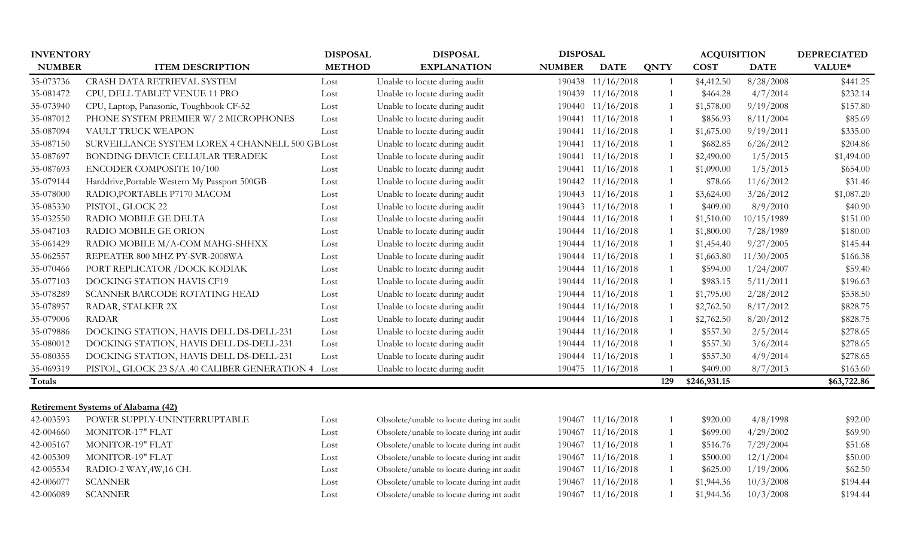| <b>INVENTORY</b> |                                                    | <b>DISPOSAL</b> | <b>DISPOSAL</b>                            | <b>DISPOSAL</b> |                   |                | <b>ACQUISITION</b> |             | <b>DEPRECIATED</b> |
|------------------|----------------------------------------------------|-----------------|--------------------------------------------|-----------------|-------------------|----------------|--------------------|-------------|--------------------|
| <b>NUMBER</b>    | <b>ITEM DESCRIPTION</b>                            | <b>METHOD</b>   | <b>EXPLANATION</b>                         | <b>NUMBER</b>   | <b>DATE</b>       | <b>QNTY</b>    | <b>COST</b>        | <b>DATE</b> | VALUE*             |
| 35-073736        | CRASH DATA RETRIEVAL SYSTEM                        | Lost            | Unable to locate during audit              | 190438          | 11/16/2018        | $\overline{1}$ | \$4,412.50         | 8/28/2008   | \$441.25           |
| 35-081472        | CPU, DELL TABLET VENUE 11 PRO                      | Lost            | Unable to locate during audit              |                 | 190439 11/16/2018 |                | \$464.28           | 4/7/2014    | \$232.14           |
| 35-073940        | CPU, Laptop, Panasonic, Toughbook CF-52            | Lost            | Unable to locate during audit              | 190440          | 11/16/2018        |                | \$1,578.00         | 9/19/2008   | \$157.80           |
| 35-087012        | PHONE SYSTEM PREMIER W/ 2 MICROPHONES              | Lost            | Unable to locate during audit              | 190441          | 11/16/2018        |                | \$856.93           | 8/11/2004   | \$85.69            |
| 35-087094        | VAULT TRUCK WEAPON                                 | Lost            | Unable to locate during audit              | 190441          | 11/16/2018        |                | \$1,675.00         | 9/19/2011   | \$335.00           |
| 35-087150        | SURVEILLANCE SYSTEM LOREX 4 CHANNELL 500 GB Lost   |                 | Unable to locate during audit              | 190441          | 11/16/2018        |                | \$682.85           | 6/26/2012   | \$204.86           |
| 35-087697        | BONDING DEVICE CELLULAR TERADEK                    | Lost            | Unable to locate during audit              | 190441          | 11/16/2018        |                | \$2,490.00         | 1/5/2015    | \$1,494.00         |
| 35-087693        | ENCODER COMPOSITE 10/100                           | Lost            | Unable to locate during audit              | 190441          | 11/16/2018        |                | \$1,090.00         | 1/5/2015    | \$654.00           |
| 35-079144        | Harddrive, Portable Western My Passport 500GB      | Lost            | Unable to locate during audit              | 190442          | 11/16/2018        |                | \$78.66            | 11/6/2012   | \$31.46            |
| 35-078000        | RADIO, PORTABLE P7170 MACOM                        | Lost            | Unable to locate during audit              | 190443          | 11/16/2018        |                | \$3,624.00         | 3/26/2012   | \$1,087.20         |
| 35-085330        | PISTOL, GLOCK 22                                   | Lost            | Unable to locate during audit              |                 | 190443 11/16/2018 |                | \$409.00           | 8/9/2010    | \$40.90            |
| 35-032550        | RADIO MOBILE GE DELTA                              | Lost            | Unable to locate during audit              |                 | 190444 11/16/2018 |                | \$1,510.00         | 10/15/1989  | \$151.00           |
| 35-047103        | RADIO MOBILE GE ORION                              | Lost            | Unable to locate during audit              |                 | 190444 11/16/2018 |                | \$1,800.00         | 7/28/1989   | \$180.00           |
| 35-061429        | RADIO MOBILE M/A-COM MAHG-SHHXX                    | Lost            | Unable to locate during audit              |                 | 190444 11/16/2018 |                | \$1,454.40         | 9/27/2005   | \$145.44           |
| 35-062557        | REPEATER 800 MHZ PY-SVR-2008WA                     | Lost            | Unable to locate during audit              |                 | 190444 11/16/2018 |                | \$1,663.80         | 11/30/2005  | \$166.38           |
| 35-070466        | PORT REPLICATOR / DOCK KODIAK                      | Lost            | Unable to locate during audit              | 190444          | 11/16/2018        |                | \$594.00           | 1/24/2007   | \$59.40            |
| 35-077103        | DOCKING STATION HAVIS CF19                         | Lost            | Unable to locate during audit              | 190444          | 11/16/2018        |                | \$983.15           | 5/11/2011   | \$196.63           |
| 35-078289        | SCANNER BARCODE ROTATING HEAD                      | Lost            | Unable to locate during audit              | 190444          | 11/16/2018        |                | \$1,795.00         | 2/28/2012   | \$538.50           |
| 35-078957        | RADAR, STALKER 2X                                  | Lost            | Unable to locate during audit              |                 | 190444 11/16/2018 |                | \$2,762.50         | 8/17/2012   | \$828.75           |
| 35-079006        | <b>RADAR</b>                                       | Lost            | Unable to locate during audit              |                 | 190444 11/16/2018 |                | \$2,762.50         | 8/20/2012   | \$828.75           |
| 35-079886        | DOCKING STATION, HAVIS DELL DS-DELL-231            | Lost            | Unable to locate during audit              |                 | 190444 11/16/2018 |                | \$557.30           | 2/5/2014    | \$278.65           |
| 35-080012        | DOCKING STATION, HAVIS DELL DS-DELL-231            | Lost            | Unable to locate during audit              |                 | 190444 11/16/2018 |                | \$557.30           | 3/6/2014    | \$278.65           |
| 35-080355        | DOCKING STATION, HAVIS DELL DS-DELL-231            | Lost            | Unable to locate during audit              |                 | 190444 11/16/2018 |                | \$557.30           | 4/9/2014    | \$278.65           |
| 35-069319        | PISTOL, GLOCK 23 S/A .40 CALIBER GENERATION 4 Lost |                 | Unable to locate during audit              |                 | 190475 11/16/2018 |                | \$409.00           | 8/7/2013    | \$163.60           |
| Totals           |                                                    |                 |                                            |                 |                   | 129            | \$246,931.15       |             | \$63,722.86        |
|                  |                                                    |                 |                                            |                 |                   |                |                    |             |                    |
|                  | <b>Retirement Systems of Alabama (42)</b>          |                 |                                            |                 |                   |                |                    |             |                    |
| 42-003593        | POWER SUPPLY-UNINTERRUPTABLE                       | Lost            | Obsolete/unable to locate during int audit | 190467          | 11/16/2018        |                | \$920.00           | 4/8/1998    | \$92.00            |
| 42-004660        | <b>MONITOR-17" FLAT</b>                            | Lost            | Obsolete/unable to locate during int audit | 190467          | 11/16/2018        |                | \$699.00           | 4/29/2002   | \$69.90            |
| 42-005167        | <b>MONITOR-19" FLAT</b>                            | Lost            | Obsolete/unable to locate during int audit | 190467          | 11/16/2018        |                | \$516.76           | 7/29/2004   | \$51.68            |
| 42-005309        | <b>MONITOR-19" FLAT</b>                            | Lost            | Obsolete/unable to locate during int audit | 190467          | 11/16/2018        |                | \$500.00           | 12/1/2004   | \$50.00            |
| 42-005534        | RADIO-2 WAY, 4W, 16 CH.                            | Lost            | Obsolete/unable to locate during int audit | 190467          | 11/16/2018        |                | \$625.00           | 1/19/2006   | \$62.50            |
| 42-006077        | <b>SCANNER</b>                                     | Lost            | Obsolete/unable to locate during int audit | 190467          | 11/16/2018        |                | \$1,944.36         | 10/3/2008   | \$194.44           |
| 42-006089        | <b>SCANNER</b>                                     | Lost            | Obsolete/unable to locate during int audit |                 | 190467 11/16/2018 |                | \$1,944.36         | 10/3/2008   | \$194.44           |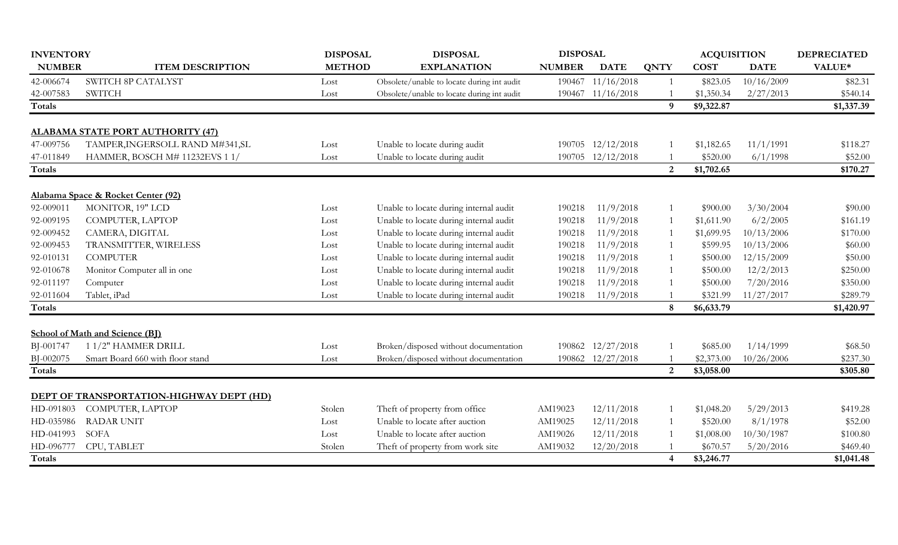| <b>INVENTORY</b> |                                          | <b>DISPOSAL</b> | <b>DISPOSAL</b>                            | <b>DISPOSAL</b> |                   |                | <b>ACQUISITION</b> |             | <b>DEPRECIATED</b> |
|------------------|------------------------------------------|-----------------|--------------------------------------------|-----------------|-------------------|----------------|--------------------|-------------|--------------------|
| <b>NUMBER</b>    | <b>ITEM DESCRIPTION</b>                  | <b>METHOD</b>   | <b>EXPLANATION</b>                         | <b>NUMBER</b>   | <b>DATE</b>       | <b>QNTY</b>    | <b>COST</b>        | <b>DATE</b> | VALUE*             |
| 42-006674        | SWITCH 8P CATALYST                       | Lost            | Obsolete/unable to locate during int audit |                 | 190467 11/16/2018 |                | \$823.05           | 10/16/2009  | \$82.31            |
| 42-007583        | <b>SWITCH</b>                            | Lost            | Obsolete/unable to locate during int audit |                 | 190467 11/16/2018 |                | \$1,350.34         | 2/27/2013   | \$540.14           |
| <b>Totals</b>    |                                          |                 |                                            |                 |                   | $\mathbf{Q}$   | \$9,322.87         |             | \$1,337.39         |
|                  | <b>ALABAMA STATE PORT AUTHORITY (47)</b> |                 |                                            |                 |                   |                |                    |             |                    |
| 47-009756        | TAMPER, INGERSOLL RAND M#341, SL         | Lost            | Unable to locate during audit              |                 | 190705 12/12/2018 |                | \$1,182.65         | 11/1/1991   | \$118.27           |
| 47-011849        | HAMMER, BOSCH M# 11232EVS 1 1/           | Lost            | Unable to locate during audit              |                 | 190705 12/12/2018 |                | \$520.00           | 6/1/1998    | \$52.00            |
| <b>Totals</b>    |                                          |                 |                                            |                 |                   | $\overline{2}$ | \$1,702.65         |             | \$170.27           |
|                  | Alabama Space & Rocket Center (92)       |                 |                                            |                 |                   |                |                    |             |                    |
| 92-009011        | MONITOR, 19" LCD                         | Lost            | Unable to locate during internal audit     | 190218          | 11/9/2018         |                | \$900.00           | 3/30/2004   | \$90.00            |
| 92-009195        | COMPUTER, LAPTOP                         | Lost            | Unable to locate during internal audit     | 190218          | 11/9/2018         |                | \$1,611.90         | 6/2/2005    | \$161.19           |
| 92-009452        | CAMERA, DIGITAL                          | Lost            | Unable to locate during internal audit     | 190218          | 11/9/2018         |                | \$1,699.95         | 10/13/2006  | \$170.00           |
| 92-009453        | TRANSMITTER, WIRELESS                    | Lost            | Unable to locate during internal audit     | 190218          | 11/9/2018         |                | \$599.95           | 10/13/2006  | \$60.00            |
| 92-010131        | <b>COMPUTER</b>                          | Lost            | Unable to locate during internal audit     | 190218          | 11/9/2018         |                | \$500.00           | 12/15/2009  | \$50.00            |
| 92-010678        | Monitor Computer all in one              | Lost            | Unable to locate during internal audit     | 190218          | 11/9/2018         |                | \$500.00           | 12/2/2013   | \$250.00           |
| 92-011197        | Computer                                 | Lost            | Unable to locate during internal audit     | 190218          | 11/9/2018         |                | \$500.00           | 7/20/2016   | \$350.00           |
| 92-011604        | Tablet, iPad                             | Lost            | Unable to locate during internal audit     | 190218          | 11/9/2018         |                | \$321.99           | 11/27/2017  | \$289.79           |
| Totals           |                                          |                 |                                            |                 |                   | 8              | \$6,633.79         |             | \$1,420.97         |
|                  | <b>School of Math and Science (BJ)</b>   |                 |                                            |                 |                   |                |                    |             |                    |
| BJ-001747        | 11/2" HAMMER DRILL                       | Lost            | Broken/disposed without documentation      |                 | 190862 12/27/2018 |                | \$685.00           | 1/14/1999   | \$68.50            |
| BJ-002075        | Smart Board 660 with floor stand         | Lost            | Broken/disposed without documentation      |                 | 190862 12/27/2018 |                | \$2,373.00         | 10/26/2006  | \$237.30           |
| <b>Totals</b>    |                                          |                 |                                            |                 |                   | $\overline{2}$ | \$3,058.00         |             | \$305.80           |
|                  | DEPT OF TRANSPORTATION-HIGHWAY DEPT (HD) |                 |                                            |                 |                   |                |                    |             |                    |
| HD-091803        | COMPUTER, LAPTOP                         | Stolen          | Theft of property from office              | AM19023         | 12/11/2018        |                | \$1,048.20         | 5/29/2013   | \$419.28           |
| HD-035986        | <b>RADAR UNIT</b>                        | Lost            | Unable to locate after auction             | AM19025         | 12/11/2018        |                | \$520.00           | 8/1/1978    | \$52.00            |
| HD-041993        | <b>SOFA</b>                              | Lost            | Unable to locate after auction             | AM19026         | 12/11/2018        |                | \$1,008.00         | 10/30/1987  | \$100.80           |
| HD-096777        | CPU, TABLET                              | Stolen          | Theft of property from work site           | AM19032         | 12/20/2018        |                | \$670.57           | 5/20/2016   | \$469.40           |
| Totals           |                                          |                 |                                            |                 |                   | 4              | \$3,246.77         |             | \$1,041.48         |